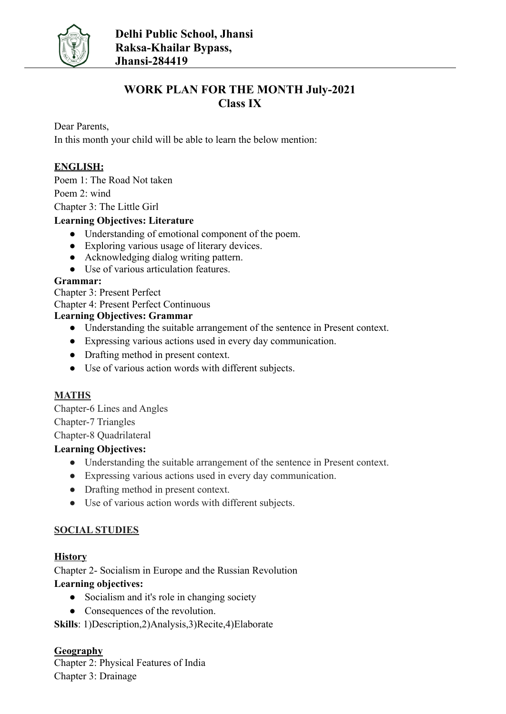

## **WORK PLAN FOR THE MONTH July-2021 Class IX**

Dear Parents,

In this month your child will be able to learn the below mention:

## **ENGLISH:**

Poem 1: The Road Not taken

Poem 2: wind

Chapter 3: The Little Girl

#### **Learning Objectives: Literature**

- Understanding of emotional component of the poem.
- Exploring various usage of literary devices.
- Acknowledging dialog writing pattern.
- Use of various articulation features.

#### **Grammar:**

Chapter 3: Present Perfect

Chapter 4: Present Perfect Continuous

#### **Learning Objectives: Grammar**

- Understanding the suitable arrangement of the sentence in Present context.
- Expressing various actions used in every day communication.
- Drafting method in present context.
- Use of various action words with different subjects.

## **MATHS**

Chapter-6 Lines and Angles Chapter-7 Triangles Chapter-8 Quadrilateral

## **Learning Objectives:**

- Understanding the suitable arrangement of the sentence in Present context.
- Expressing various actions used in every day communication.
- Drafting method in present context.
- Use of various action words with different subjects.

## **SOCIAL STUDIES**

## **History**

Chapter 2- Socialism in Europe and the Russian Revolution **Learning objectives:**

- Socialism and it's role in changing society
- Consequences of the revolution.

**Skills**: 1)Description,2)Analysis,3)Recite,4)Elaborate

## **Geography**

Chapter 2: Physical Features of India Chapter 3: Drainage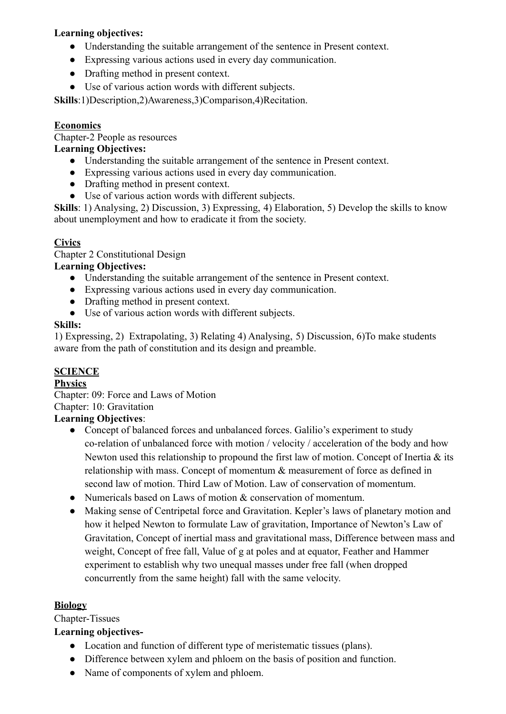### **Learning objectives:**

- Understanding the suitable arrangement of the sentence in Present context.
- Expressing various actions used in every day communication.
- Drafting method in present context.
- Use of various action words with different subjects.

**Skills**:1)Description,2)Awareness,3)Comparison,4)Recitation.

#### **Economics**

Chapter-2 People as resources

#### **Learning Objectives:**

- Understanding the suitable arrangement of the sentence in Present context.
- Expressing various actions used in every day communication.
- Drafting method in present context.
- Use of various action words with different subjects.

**Skills**: 1) Analysing, 2) Discussion, 3) Expressing, 4) Elaboration, 5) Develop the skills to know about unemployment and how to eradicate it from the society.

## **Civics**

Chapter 2 Constitutional Design

#### **Learning Objectives:**

- Understanding the suitable arrangement of the sentence in Present context.
- Expressing various actions used in every day communication.
- Drafting method in present context.
- Use of various action words with different subjects.

#### **Skills:**

1) Expressing, 2) Extrapolating, 3) Relating 4) Analysing, 5) Discussion, 6)To make students aware from the path of constitution and its design and preamble.

## **SCIENCE**

#### **Physics**

Chapter: 09: Force and Laws of Motion Chapter: 10: Gravitation

## **Learning Objectives**:

- Concept of balanced forces and unbalanced forces. Galilio's experiment to study co-relation of unbalanced force with motion / velocity / acceleration of the body and how Newton used this relationship to propound the first law of motion. Concept of Inertia  $\&$  its relationship with mass. Concept of momentum & measurement of force as defined in second law of motion. Third Law of Motion. Law of conservation of momentum.
- Numericals based on Laws of motion  $\&$  conservation of momentum.
- Making sense of Centripetal force and Gravitation. Kepler's laws of planetary motion and how it helped Newton to formulate Law of gravitation, Importance of Newton's Law of Gravitation, Concept of inertial mass and gravitational mass, Difference between mass and weight, Concept of free fall, Value of g at poles and at equator, Feather and Hammer experiment to establish why two unequal masses under free fall (when dropped concurrently from the same height) fall with the same velocity.

#### **Biology**

Chapter-Tissues

## **Learning objectives-**

- Location and function of different type of meristematic tissues (plans).
- Difference between xylem and phloem on the basis of position and function.
- Name of components of xylem and phloem.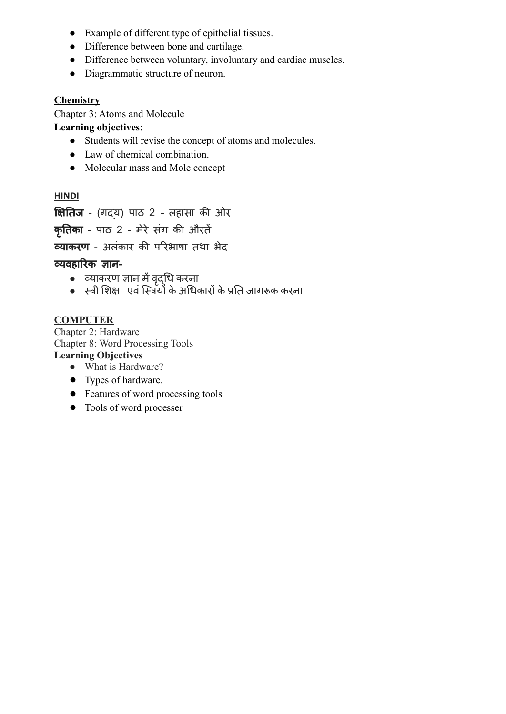- Example of different type of epithelial tissues.
- Difference between bone and cartilage.
- Difference between voluntary, involuntary and cardiac muscles.
- Diagrammatic structure of neuron.

#### **Chemistry**

Chapter 3: Atoms and Molecule

**Learning objectives**:

- Students will revise the concept of atoms and molecules.
- Law of chemical combination.
- Molecular mass and Mole concept

#### **HINDI**

क्षितिज - (गद्य) पाठ 2 - लहासा की ओर

कृतिका - पाठ 2 - मेरे संग की औरतें

व्याकरण - अलंकार की परिभाषा तथा भेद

#### व्यवहारिक ज्ञान-

- व्याकरण ज्ञान मेंवद्ृधि करना
- स्त्री शिक्षा एवंस्त्रियों केअधिकारों केप्रति जागरूक करना

#### **COMPUTER**

Chapter 2: Hardware Chapter 8: Word Processing Tools **Learning Objectives**

- **●** What is Hardware?
- Types of hardware.
- Features of word processing tools
- Tools of word processer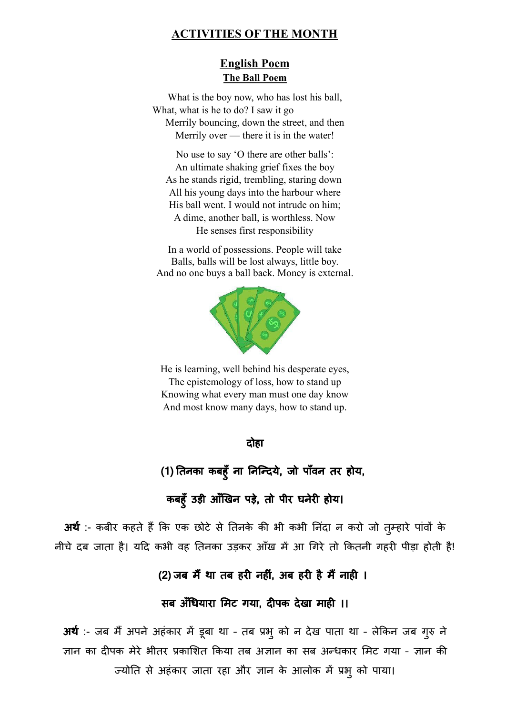## **ACTIVITIES OF THE MONTH**

## **English Poem The Ball Poem**

What is the boy now, who has lost his ball, What, what is he to do? I saw it go Merrily bouncing, down the street, and then Merrily over — there it is in the water!

No use to say 'O there are other balls': An ultimate shaking grief fixes the boy As he stands rigid, trembling, staring down All his young days into the harbour where His ball went. I would not intrude on him; A dime, another ball, is worthless. Now He senses first responsibility

In a world of possessions. People will take Balls, balls will be lost always, little boy. And no one buys a ball back. Money is external.



He is learning, well behind his desperate eyes, The epistemology of loss, how to stand up Knowing what every man must one day know And most know many days, how to stand up.

दोहा

(1) तिनका कबहुँ ना निन्दिये, जो पाँवन तर होय,

कबहूँ उड़ी आँखिन पड़े, तो पीर घनेरी होय।

अर्थ :- कबीर कहते हैं कि एक छोटे से तिनके की भी कभी निंदा न करो जो तुम्हारे पांवों के नीचे दब जाता है। यदि कभी वह तिनका उड़कर आँख में आ गिरे तो कितनी गहरी पीड़ा होती है!

(2) जब मैं था तब हरी नहीं. अब हरी है मैं नाही ।

## सब अँधियारा मिट गया, दीपक देखा माही ।।

अर्थ :- जब मैं अपने अहंकार में डूबा था - तब प्रभ् को न देख पाता था - लेकिन जब गुरु ने ज्ञान का दीपक मेरे भीतर प्रकाशित किया तब अज्ञान का सब अन्धकार मिट गया – ज्ञान की ज्योति से अहंकार जाता रहा और ज्ञान के आलोक में प्रभुको पाया।